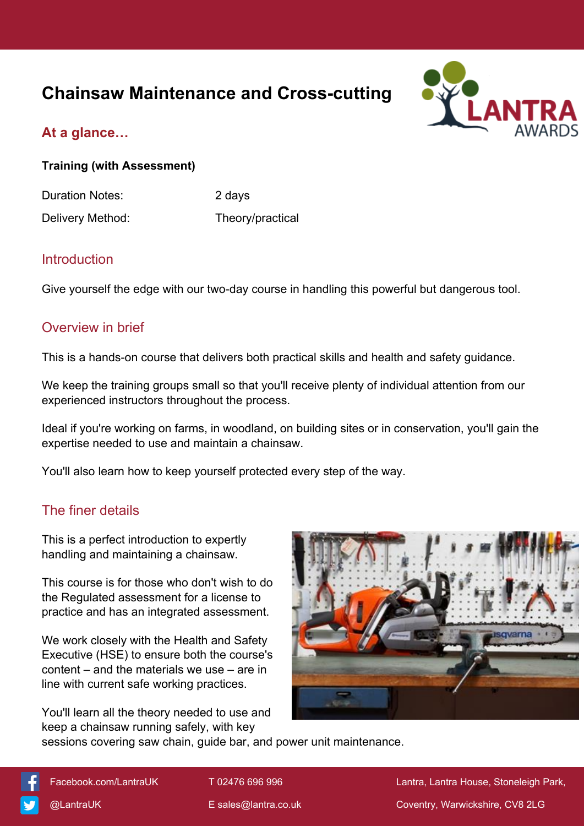# **Chainsaw Maintenance and Cross-cutting**



## **At a glance…**

**Training (with Assessment)**

Duration Notes: 2 days Delivery Method: Theory/practical

### Introduction

Give yourself the edge with our two-day course in handling this powerful but dangerous tool.

### Overview in brief

This is a hands-on course that delivers both practical skills and health and safety guidance.

We keep the training groups small so that you'll receive plenty of individual attention from our experienced instructors throughout the process.

Ideal if you're working on farms, in woodland, on building sites or in conservation, you'll gain the expertise needed to use and maintain a chainsaw.

You'll also learn how to keep yourself protected every step of the way.

## The finer details

This is a perfect introduction to expertly handling and maintaining a chainsaw.

This course is for those who don't wish to do the Regulated assessment for a license to practice and has an integrated assessment.

We work closely with the Health and Safety Executive (HSE) to ensure both the course's content – and the materials we use – are in line with current safe working practices.

You'll learn all the theory needed to use and keep a chainsaw running safely, with key



sessions covering saw chain, guide bar, and power unit maintenance.



[Facebook.com/LantraUK](https://www.facebook.com/LantraUK/) T 02476 696 996 Lantra, Lantra, Lantra House, Stoneleigh Park, [@LantraUK](http://www.twitter.com/lantrauk) E [sales@lantra.co.uk](mailto:sales@lantra.co.uk) Coventry, Warwickshire, CV8 2LG